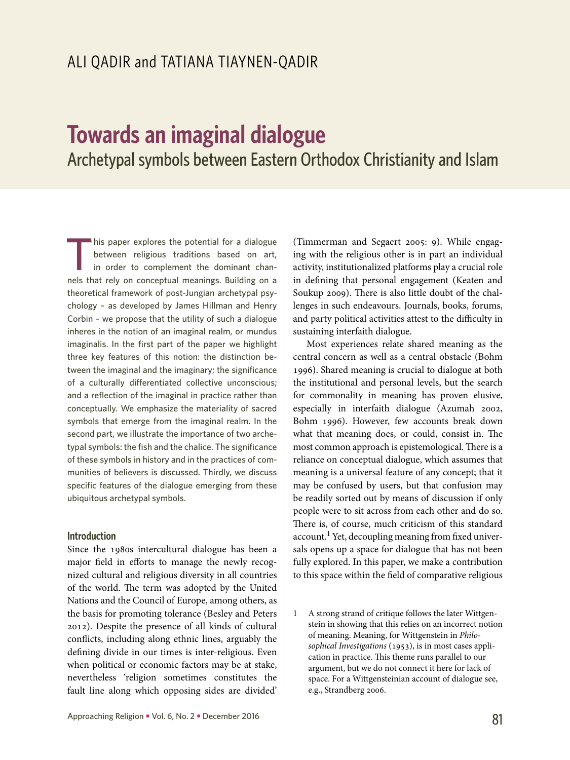# **Towards an imaginal dialogue** Archetypal symbols between Eastern Orthodox Christianity and Islam

This paper explores the potential for a dialogue<br>between religious traditions based on art,<br>in order to complement the dominant chan-<br>relative that rely on concentual meanings Building on a between religious traditions based on art, in order to complement the dominant channels that rely on conceptual meanings. Building on a theoretical framework of post-Jungian archetypal psychology – as developed by James Hillman and Henry Corbin – we propose that the utility of such a dialogue inheres in the notion of an imaginal realm, or mundus imaginalis. In the first part of the paper we highlight three key features of this notion: the distinction between the imaginal and the imaginary; the significance of a culturally differentiated collective unconscious; and a reflection of the imaginal in practice rather than conceptually. We emphasize the materiality of sacred symbols that emerge from the imaginal realm. In the second part, we illustrate the importance of two archetypal symbols: the fish and the chalice. The significance of these symbols in history and in the practices of communities of believers is discussed. Thirdly, we discuss specific features of the dialogue emerging from these ubiquitous archetypal symbols.

## **Introduction**

Since the 1980s intercultural dialogue has been a major field in efforts to manage the newly recognized cultural and religious diversity in all countries of the world. The term was adopted by the United Nations and the Council of Europe, among others, as the basis for promoting tolerance (Besley and Peters 2012). Despite the presence of all kinds of cultural conflicts, including along ethnic lines, arguably the defining divide in our times is inter-religious. Even when political or economic factors may be at stake, nevertheless 'religion sometimes constitutes the fault line along which opposing sides are divided'

(Timmerman and Segaert 2005: 9). While engaging with the religious other is in part an individual activity, institutionalized platforms play a crucial role in defining that personal engagement (Keaten and Soukup 2009). There is also little doubt of the challenges in such endeavours. Journals, books, forums, and party political activities attest to the difficulty in sustaining interfaith dialogue.

Most experiences relate shared meaning as the central concern as well as a central obstacle (Bohm 1996). Shared meaning is crucial to dialogue at both the institutional and personal levels, but the search for commonality in meaning has proven elusive, especially in interfaith dialogue (Azumah 2002, Bohm 1996). However, few accounts break down what that meaning does, or could, consist in. The most common approach is epistemological. There is a reliance on conceptual dialogue, which assumes that meaning is a universal feature of any concept; that it may be confused by users, but that confusion may be readily sorted out by means of discussion if only people were to sit across from each other and do so. There is, of course, much criticism of this standard account.<sup>1</sup> Yet, decoupling meaning from fixed universals opens up a space for dialogue that has not been fully explored. In this paper, we make a contribution to this space within the field of comparative religious

<sup>1</sup> A strong strand of critique follows the later Wittgenstein in showing that this relies on an incorrect notion of meaning. Meaning, for Wittgenstein in *Philosophical Investigations* (1953), is in most cases application in practice. This theme runs parallel to our argument, but we do not connect it here for lack of space. For a Wittgensteinian account of dialogue see, e.g., Strandberg 2006.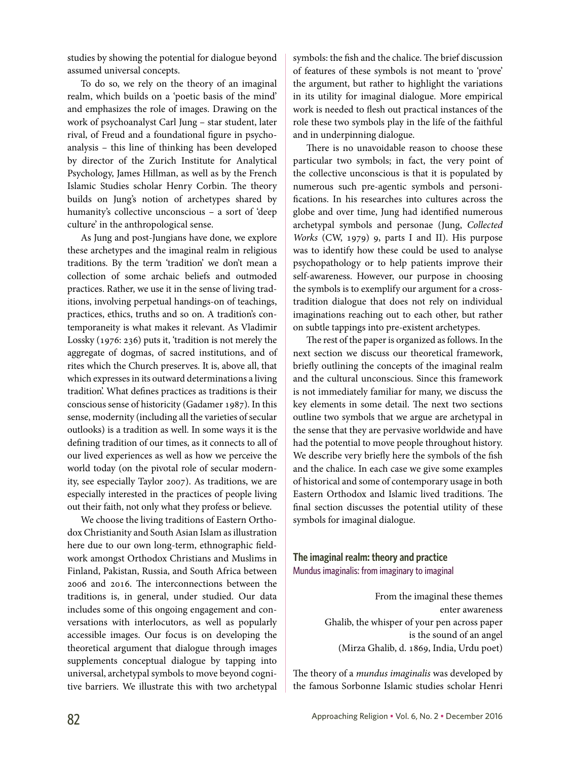studies by showing the potential for dialogue beyond assumed universal concepts.

To do so, we rely on the theory of an imaginal realm, which builds on a 'poetic basis of the mind' and emphasizes the role of images. Drawing on the work of psychoanalyst Carl Jung – star student, later rival, of Freud and a foundational figure in psychoanalysis – this line of thinking has been developed by director of the Zurich Institute for Analytical Psychology, James Hillman, as well as by the French Islamic Studies scholar Henry Corbin. The theory builds on Jung's notion of archetypes shared by humanity's collective unconscious – a sort of 'deep culture' in the anthropological sense.

As Jung and post-Jungians have done, we explore these archetypes and the imaginal realm in religious traditions. By the term 'tradition' we don't mean a collection of some archaic beliefs and outmoded practices. Rather, we use it in the sense of living traditions, involving perpetual handings-on of teachings, practices, ethics, truths and so on. A tradition's contemporaneity is what makes it relevant. As Vladimir Lossky (1976: 236) puts it, 'tradition is not merely the aggregate of dogmas, of sacred institutions, and of rites which the Church preserves. It is, above all, that which expresses in its outward determinations a living tradition'. What defines practices as traditions is their conscious sense of historicity (Gadamer 1987). In this sense, modernity (including all the varieties of secular outlooks) is a tradition as well. In some ways it is the defining tradition of our times, as it connects to all of our lived experiences as well as how we perceive the world today (on the pivotal role of secular modernity, see especially Taylor 2007). As traditions, we are especially interested in the practices of people living out their faith, not only what they profess or believe.

We choose the living traditions of Eastern Orthodox Christianity and South Asian Islam as illustration here due to our own long-term, ethnographic fieldwork amongst Orthodox Christians and Muslims in Finland, Pakistan, Russia, and South Africa between 2006 and 2016. The interconnections between the traditions is, in general, under studied. Our data includes some of this ongoing engagement and conversations with interlocutors, as well as popularly accessible images. Our focus is on developing the theoretical argument that dialogue through images supplements conceptual dialogue by tapping into universal, archetypal symbols to move beyond cognitive barriers. We illustrate this with two archetypal

symbols: the fish and the chalice. The brief discussion of features of these symbols is not meant to 'prove' the argument, but rather to highlight the variations in its utility for imaginal dialogue. More empirical work is needed to flesh out practical instances of the role these two symbols play in the life of the faithful and in underpinning dialogue.

There is no unavoidable reason to choose these particular two symbols; in fact, the very point of the collective unconscious is that it is populated by numerous such pre-agentic symbols and personifications. In his researches into cultures across the globe and over time, Jung had identified numerous archetypal symbols and personae (Jung, *Collected Works* (CW, 1979) 9, parts I and II). His purpose was to identify how these could be used to analyse psychopathology or to help patients improve their self-awareness. However, our purpose in choosing the symbols is to exemplify our argument for a crosstradition dialogue that does not rely on individual imaginations reaching out to each other, but rather on subtle tappings into pre-existent archetypes.

The rest of the paper is organized as follows. In the next section we discuss our theoretical framework, briefly outlining the concepts of the imaginal realm and the cultural unconscious. Since this framework is not immediately familiar for many, we discuss the key elements in some detail. The next two sections outline two symbols that we argue are archetypal in the sense that they are pervasive worldwide and have had the potential to move people throughout history. We describe very briefly here the symbols of the fish and the chalice. In each case we give some examples of historical and some of contemporary usage in both Eastern Orthodox and Islamic lived traditions. The final section discusses the potential utility of these symbols for imaginal dialogue.

**The imaginal realm: theory and practice** Mundus imaginalis: from imaginary to imaginal

> From the imaginal these themes enter awareness Ghalib, the whisper of your pen across paper is the sound of an angel (Mirza Ghalib, d. 1869, India, Urdu poet)

The theory of a *mundus imaginalis* was developed by the famous Sorbonne Islamic studies scholar Henri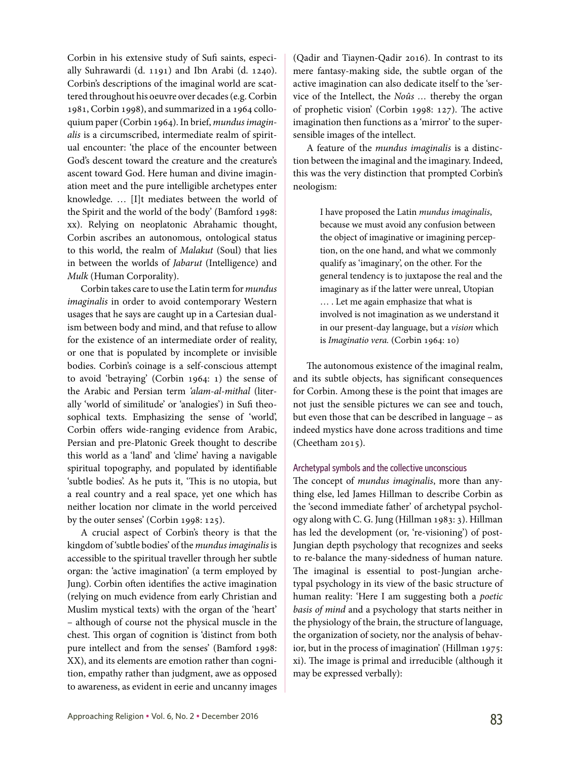Corbin in his extensive study of Sufi saints, especially Suhrawardi (d. 1191) and Ibn Arabi (d. 1240). Corbin's descriptions of the imaginal world are scattered throughout his oeuvre over decades (e.g. Corbin 1981, Corbin 1998), and summarized in a 1964 colloquium paper (Corbin 1964). In brief, *mundus imaginalis* is a circumscribed, intermediate realm of spiritual encounter: 'the place of the encounter between God's descent toward the creature and the creature's ascent toward God. Here human and divine imagination meet and the pure intelligible archetypes enter knowledge. … [I]t mediates between the world of the Spirit and the world of the body' (Bamford 1998: xx). Relying on neoplatonic Abrahamic thought, Corbin ascribes an autonomous, ontological status to this world, the realm of *Malakut* (Soul) that lies in between the worlds of *Jabarut* (Intelligence) and *Mulk* (Human Corporality).

Corbin takes care to use the Latin term for *mundus imaginalis* in order to avoid contemporary Western usages that he says are caught up in a Cartesian dualism between body and mind, and that refuse to allow for the existence of an intermediate order of reality, or one that is populated by incomplete or invisible bodies. Corbin's coinage is a self-conscious attempt to avoid 'betraying' (Corbin 1964: 1) the sense of the Arabic and Persian term *'alam-al-mithal* (literally 'world of similitude' or 'analogies') in Sufi theosophical texts. Emphasizing the sense of 'world', Corbin offers wide-ranging evidence from Arabic, Persian and pre-Platonic Greek thought to describe this world as a 'land' and 'clime' having a navigable spiritual topography, and populated by identifiable 'subtle bodies'. As he puts it, 'This is no utopia, but a real country and a real space, yet one which has neither location nor climate in the world perceived by the outer senses' (Corbin 1998: 125).

A crucial aspect of Corbin's theory is that the kingdom of 'subtle bodies' of the *mundus imaginalis* is accessible to the spiritual traveller through her subtle organ: the 'active imagination' (a term employed by Jung). Corbin often identifies the active imagination (relying on much evidence from early Christian and Muslim mystical texts) with the organ of the 'heart' – although of course not the physical muscle in the chest. This organ of cognition is 'distinct from both pure intellect and from the senses' (Bamford 1998: XX), and its elements are emotion rather than cognition, empathy rather than judgment, awe as opposed to awareness, as evident in eerie and uncanny images

(Qadir and Tiaynen-Qadir 2016). In contrast to its mere fantasy-making side, the subtle organ of the active imagination can also dedicate itself to the 'service of the Intellect, the *Noûs …* thereby the organ of prophetic vision' (Corbin 1998: 127). The active imagination then functions as a 'mirror' to the supersensible images of the intellect.

A feature of the *mundus imaginalis* is a distinction between the imaginal and the imaginary. Indeed, this was the very distinction that prompted Corbin's neologism:

> I have proposed the Latin *mundus imaginalis*, because we must avoid any confusion between the object of imaginative or imagining perception, on the one hand, and what we commonly qualify as 'imaginary', on the other. For the general tendency is to juxtapose the real and the imaginary as if the latter were unreal, Utopian … . Let me again emphasize that what is involved is not imagination as we understand it in our present-day language, but a *vision* which is *Imaginatio vera.* (Corbin 1964: 10)

The autonomous existence of the imaginal realm, and its subtle objects, has significant consequences for Corbin. Among these is the point that images are not just the sensible pictures we can see and touch, but even those that can be described in language – as indeed mystics have done across traditions and time (Cheetham 2015).

## Archetypal symbols and the collective unconscious

The concept of *mundus imaginalis*, more than anything else, led James Hillman to describe Corbin as the 'second immediate father' of archetypal psychology along with C. G. Jung (Hillman 1983: 3). Hillman has led the development (or, 're-visioning') of post-Jungian depth psychology that recognizes and seeks to re-balance the many-sidedness of human nature. The imaginal is essential to post-Jungian archetypal psychology in its view of the basic structure of human reality: 'Here I am suggesting both a *poetic basis of mind* and a psychology that starts neither in the physiology of the brain, the structure of language, the organization of society, nor the analysis of behavior, but in the process of imagination' (Hillman 1975: xi). The image is primal and irreducible (although it may be expressed verbally):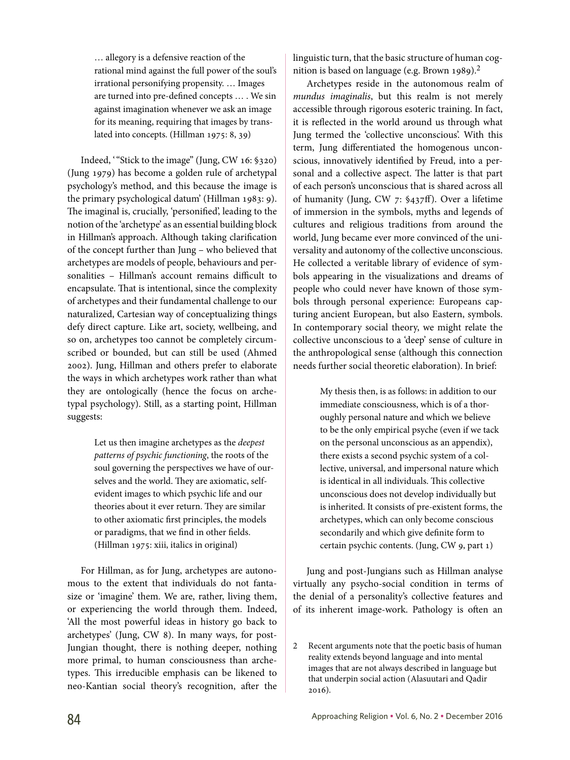… allegory is a defensive reaction of the rational mind against the full power of the soul's irrational personifying propensity. … Images are turned into pre-defined concepts … . We sin against imagination whenever we ask an image for its meaning, requiring that images by translated into concepts. (Hillman 1975: 8, 39)

Indeed, '"Stick to the image" (Jung, CW 16: §320) (Jung 1979) has become a golden rule of archetypal psychology's method, and this because the image is the primary psychological datum' (Hillman 1983: 9). The imaginal is, crucially, 'personified', leading to the notion of the 'archetype' as an essential building block in Hillman's approach. Although taking clarification of the concept further than Jung – who believed that archetypes are models of people, behaviours and personalities – Hillman's account remains difficult to encapsulate. That is intentional, since the complexity of archetypes and their fundamental challenge to our naturalized, Cartesian way of conceptualizing things defy direct capture. Like art, society, wellbeing, and so on, archetypes too cannot be completely circumscribed or bounded, but can still be used (Ahmed 2002). Jung, Hillman and others prefer to elaborate the ways in which archetypes work rather than what they are ontologically (hence the focus on archetypal psychology). Still, as a starting point, Hillman suggests:

> Let us then imagine archetypes as the *deepest patterns of psychic functioning*, the roots of the soul governing the perspectives we have of ourselves and the world. They are axiomatic, selfevident images to which psychic life and our theories about it ever return. They are similar to other axiomatic first principles, the models or paradigms, that we find in other fields. (Hillman 1975: xiii, italics in original)

For Hillman, as for Jung, archetypes are autonomous to the extent that individuals do not fantasize or 'imagine' them. We are, rather, living them, or experiencing the world through them. Indeed, 'All the most powerful ideas in history go back to archetypes' (Jung, CW 8). In many ways, for post-Jungian thought, there is nothing deeper, nothing more primal, to human consciousness than archetypes. This irreducible emphasis can be likened to neo-Kantian social theory's recognition, after the

linguistic turn, that the basic structure of human cognition is based on language (e.g. Brown 1989).<sup>2</sup>

Archetypes reside in the autonomous realm of *mundus imaginalis*, but this realm is not merely accessible through rigorous esoteric training. In fact, it is reflected in the world around us through what Jung termed the 'collective unconscious'. With this term, Jung differentiated the homogenous unconscious, innovatively identified by Freud, into a personal and a collective aspect. The latter is that part of each person's unconscious that is shared across all of humanity (Jung, CW 7: §437ff). Over a lifetime of immersion in the symbols, myths and legends of cultures and religious traditions from around the world, Jung became ever more convinced of the universality and autonomy of the collective unconscious. He collected a veritable library of evidence of symbols appearing in the visualizations and dreams of people who could never have known of those symbols through personal experience: Europeans capturing ancient European, but also Eastern, symbols. In contemporary social theory, we might relate the collective unconscious to a 'deep' sense of culture in the anthropological sense (although this connection needs further social theoretic elaboration). In brief:

> My thesis then, is as follows: in addition to our immediate consciousness, which is of a thoroughly personal nature and which we believe to be the only empirical psyche (even if we tack on the personal unconscious as an appendix), there exists a second psychic system of a collective, universal, and impersonal nature which is identical in all individuals. This collective unconscious does not develop individually but is inherited. It consists of pre-existent forms, the archetypes, which can only become conscious secondarily and which give definite form to certain psychic contents. (Jung, CW 9, part 1)

Jung and post-Jungians such as Hillman analyse virtually any psycho-social condition in terms of the denial of a personality's collective features and of its inherent image-work. Pathology is often an

<sup>2</sup> Recent arguments note that the poetic basis of human reality extends beyond language and into mental images that are not always described in language but that underpin social action (Alasuutari and Qadir 2016).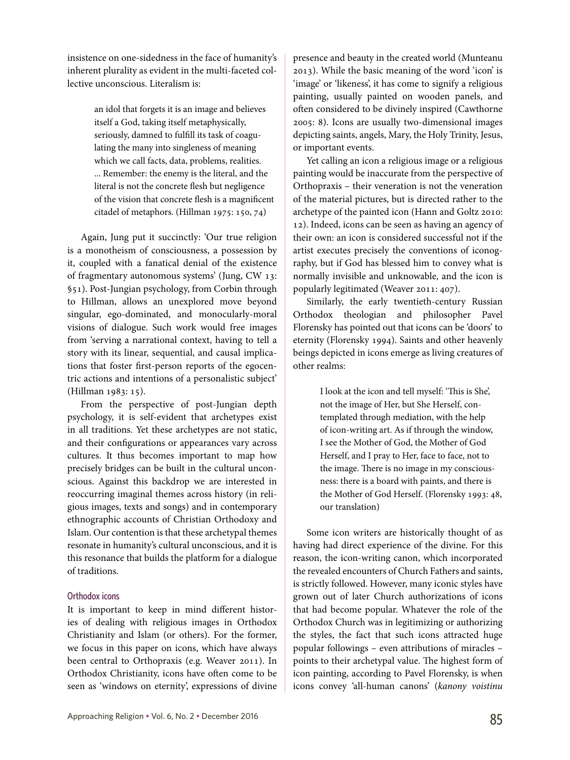insistence on one-sidedness in the face of humanity's inherent plurality as evident in the multi-faceted collective unconscious. Literalism is:

> an idol that forgets it is an image and believes itself a God, taking itself metaphysically, seriously, damned to fulfill its task of coagulating the many into singleness of meaning which we call facts, data, problems, realities. ... Remember: the enemy is the literal, and the literal is not the concrete flesh but negligence of the vision that concrete flesh is a magnificent citadel of metaphors. (Hillman 1975: 150, 74)

Again, Jung put it succinctly: 'Our true religion is a monotheism of consciousness, a possession by it, coupled with a fanatical denial of the existence of fragmentary autonomous systems' (Jung, CW 13: §51). Post-Jungian psychology, from Corbin through to Hillman, allows an unexplored move beyond singular, ego-dominated, and monocularly-moral visions of dialogue. Such work would free images from 'serving a narrational context, having to tell a story with its linear, sequential, and causal implications that foster first-person reports of the egocentric actions and intentions of a personalistic subject' (Hillman 1983: 15).

From the perspective of post-Jungian depth psychology, it is self-evident that archetypes exist in all traditions. Yet these archetypes are not static, and their configurations or appearances vary across cultures. It thus becomes important to map how precisely bridges can be built in the cultural unconscious. Against this backdrop we are interested in reoccurring imaginal themes across history (in religious images, texts and songs) and in contemporary ethnographic accounts of Christian Orthodoxy and Islam. Our contention is that these archetypal themes resonate in humanity's cultural unconscious, and it is this resonance that builds the platform for a dialogue of traditions.

## Orthodox icons

It is important to keep in mind different histories of dealing with religious images in Orthodox Christianity and Islam (or others). For the former, we focus in this paper on icons, which have always been central to Orthopraxis (e.g. Weaver 2011). In Orthodox Christianity, icons have often come to be seen as 'windows on eternity', expressions of divine presence and beauty in the created world (Munteanu 2013). While the basic meaning of the word 'icon' is 'image' or 'likeness', it has come to signify a religious painting, usually painted on wooden panels, and often considered to be divinely inspired (Cawthorne 2005: 8). Icons are usually two-dimensional images depicting saints, angels, Mary, the Holy Trinity, Jesus, or important events.

Yet calling an icon a religious image or a religious painting would be inaccurate from the perspective of Orthopraxis – their veneration is not the veneration of the material pictures, but is directed rather to the archetype of the painted icon (Hann and Goltz 2010: 12). Indeed, icons can be seen as having an agency of their own: an icon is considered successful not if the artist executes precisely the conventions of iconography, but if God has blessed him to convey what is normally invisible and unknowable, and the icon is popularly legitimated (Weaver 2011: 407).

Similarly, the early twentieth-century Russian Orthodox theologian and philosopher Pavel Florensky has pointed out that icons can be 'doors' to eternity (Florensky 1994). Saints and other heavenly beings depicted in icons emerge as living creatures of other realms:

> I look at the icon and tell myself: 'This is She', not the image of Her, but She Herself, contemplated through mediation, with the help of icon-writing art. As if through the window, I see the Mother of God, the Mother of God Herself, and I pray to Her, face to face, not to the image. There is no image in my consciousness: there is a board with paints, and there is the Mother of God Herself. (Florensky 1993: 48, our translation)

Some icon writers are historically thought of as having had direct experience of the divine. For this reason, the icon-writing canon, which incorporated the revealed encounters of Church Fathers and saints, is strictly followed. However, many iconic styles have grown out of later Church authorizations of icons that had become popular. Whatever the role of the Orthodox Church was in legitimizing or authorizing the styles, the fact that such icons attracted huge popular followings – even attributions of miracles – points to their archetypal value. The highest form of icon painting, according to Pavel Florensky, is when icons convey 'all-human canons' (*kanony voistinu*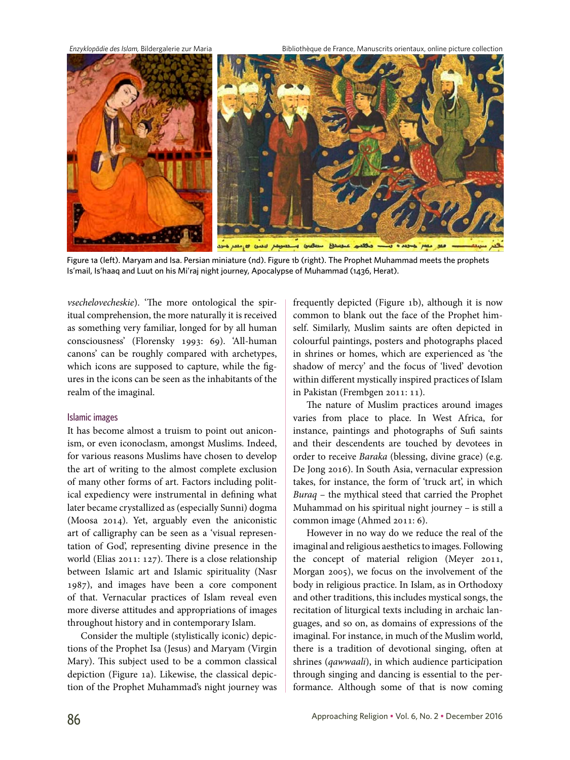*Enzyklopädie des Islam,* Bildergalerie zur Maria Bibliothèque de France, Manuscrits orientaux, online picture collection



Figure 1a (left). Maryam and Isa. Persian miniature (nd). Figure 1b (right). The Prophet Muhammad meets the prophets Is'mail, Is'haaq and Luut on his Mi'raj night journey, Apocalypse of Muhammad (1436, Herat).

*vsechelovecheskie*). 'The more ontological the spiritual comprehension, the more naturally it is received as something very familiar, longed for by all human consciousness' (Florensky 1993: 69). 'All-human canons' can be roughly compared with archetypes, which icons are supposed to capture, while the figures in the icons can be seen as the inhabitants of the realm of the imaginal.

## Islamic images

It has become almost a truism to point out aniconism, or even iconoclasm, amongst Muslims. Indeed, for various reasons Muslims have chosen to develop the art of writing to the almost complete exclusion of many other forms of art. Factors including political expediency were instrumental in defining what later became crystallized as (especially Sunni) dogma (Moosa 2014). Yet, arguably even the aniconistic art of calligraphy can be seen as a 'visual representation of God', representing divine presence in the world (Elias 2011: 127). There is a close relationship between Islamic art and Islamic spirituality (Nasr 1987), and images have been a core component of that. Vernacular practices of Islam reveal even more diverse attitudes and appropriations of images throughout history and in contemporary Islam.

Consider the multiple (stylistically iconic) depictions of the Prophet Isa (Jesus) and Maryam (Virgin Mary). This subject used to be a common classical depiction (Figure 1a). Likewise, the classical depiction of the Prophet Muhammad's night journey was frequently depicted (Figure 1b), although it is now common to blank out the face of the Prophet himself. Similarly, Muslim saints are often depicted in colourful paintings, posters and photographs placed in shrines or homes, which are experienced as 'the shadow of mercy' and the focus of 'lived' devotion within different mystically inspired practices of Islam in Pakistan (Frembgen 2011: 11).

The nature of Muslim practices around images varies from place to place. In West Africa, for instance, paintings and photographs of Sufi saints and their descendents are touched by devotees in order to receive *Baraka* (blessing, divine grace) (e.g. De Jong 2016). In South Asia, vernacular expression takes, for instance, the form of 'truck art', in which *Buraq* – the mythical steed that carried the Prophet Muhammad on his spiritual night journey – is still a common image (Ahmed 2011: 6).

However in no way do we reduce the real of the imaginal and religious aesthetics to images. Following the concept of material religion (Meyer 2011, Morgan 2005), we focus on the involvement of the body in religious practice. In Islam, as in Orthodoxy and other traditions, this includes mystical songs, the recitation of liturgical texts including in archaic languages, and so on, as domains of expressions of the imaginal. For instance, in much of the Muslim world, there is a tradition of devotional singing, often at shrines (*qawwaali*), in which audience participation through singing and dancing is essential to the performance. Although some of that is now coming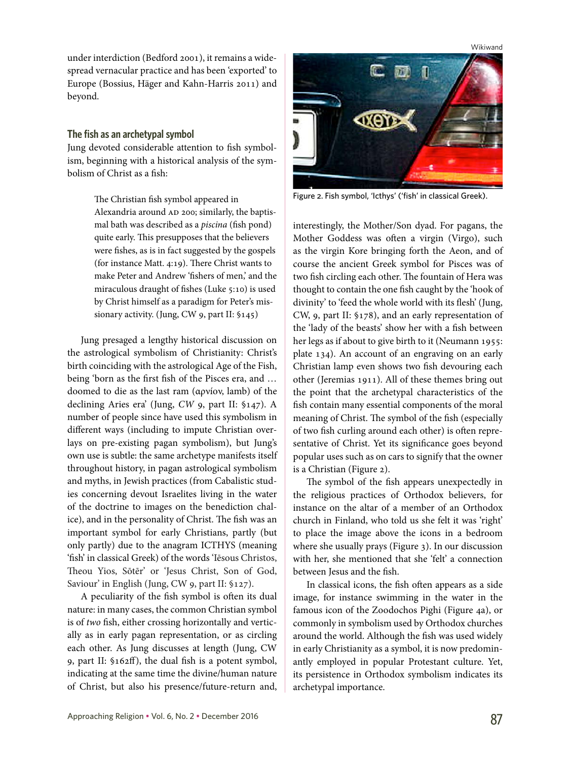Wikiwand

under interdiction (Bedford 2001), it remains a widespread vernacular practice and has been 'exported' to Europe (Bossius, Häger and Kahn-Harris 2011) and beyond.

## **The fish as an archetypal symbol**

Jung devoted considerable attention to fish symbolism, beginning with a historical analysis of the symbolism of Christ as a fish:

> The Christian fish symbol appeared in Alexandria around AD 200; similarly, the baptismal bath was described as a *piscina* (fish pond) quite early. This presupposes that the believers were fishes, as is in fact suggested by the gospels (for instance Matt. 4:19). There Christ wants to make Peter and Andrew 'fishers of men,' and the miraculous draught of fishes (Luke 5:10) is used by Christ himself as a paradigm for Peter's missionary activity. (Jung, CW 9, part II: §145)

Jung presaged a lengthy historical discussion on the astrological symbolism of Christianity: Christ's birth coinciding with the astrological Age of the Fish, being 'born as the first fish of the Pisces era, and … doomed to die as the last ram (αρνíον, lamb) of the declining Aries era' (Jung, *CW* 9, part II: §147). A number of people since have used this symbolism in different ways (including to impute Christian overlays on pre-existing pagan symbolism), but Jung's own use is subtle: the same archetype manifests itself throughout history, in pagan astrological symbolism and myths, in Jewish practices (from Cabalistic studies concerning devout Israelites living in the water of the doctrine to images on the benediction chalice), and in the personality of Christ. The fish was an important symbol for early Christians, partly (but only partly) due to the anagram ICTHYS (meaning 'fish' in classical Greek) of the words 'Iēsous Christos, Theou Yios, Sōtēr' or 'Jesus Christ, Son of God, Saviour' in English (Jung, CW 9, part II: §127).

A peculiarity of the fish symbol is often its dual nature: in many cases, the common Christian symbol is of *two* fish, either crossing horizontally and vertically as in early pagan representation, or as circling each other. As Jung discusses at length (Jung, CW 9, part II: §162ff), the dual fish is a potent symbol, indicating at the same time the divine/human nature of Christ, but also his presence/future-return and,



Figure 2. Fish symbol, 'Icthys' ('fish' in classical Greek).

interestingly, the Mother/Son dyad. For pagans, the Mother Goddess was often a virgin (Virgo), such as the virgin Kore bringing forth the Aeon, and of course the ancient Greek symbol for Pisces was of two fish circling each other. The fountain of Hera was thought to contain the one fish caught by the 'hook of divinity' to 'feed the whole world with its flesh' (Jung, CW, 9, part II: §178), and an early representation of the 'lady of the beasts' show her with a fish between her legs as if about to give birth to it (Neumann 1955: plate 134). An account of an engraving on an early Christian lamp even shows two fish devouring each other (Jeremias 1911). All of these themes bring out the point that the archetypal characteristics of the fish contain many essential components of the moral meaning of Christ. The symbol of the fish (especially of two fish curling around each other) is often representative of Christ. Yet its significance goes beyond popular uses such as on cars to signify that the owner is a Christian (Figure 2).

The symbol of the fish appears unexpectedly in the religious practices of Orthodox believers, for instance on the altar of a member of an Orthodox church in Finland, who told us she felt it was 'right' to place the image above the icons in a bedroom where she usually prays (Figure 3). In our discussion with her, she mentioned that she 'felt' a connection between Jesus and the fish.

In classical icons, the fish often appears as a side image, for instance swimming in the water in the famous icon of the Zoodochos Pighi (Figure 4a), or commonly in symbolism used by Orthodox churches around the world. Although the fish was used widely in early Christianity as a symbol, it is now predominantly employed in popular Protestant culture. Yet, its persistence in Orthodox symbolism indicates its archetypal importance.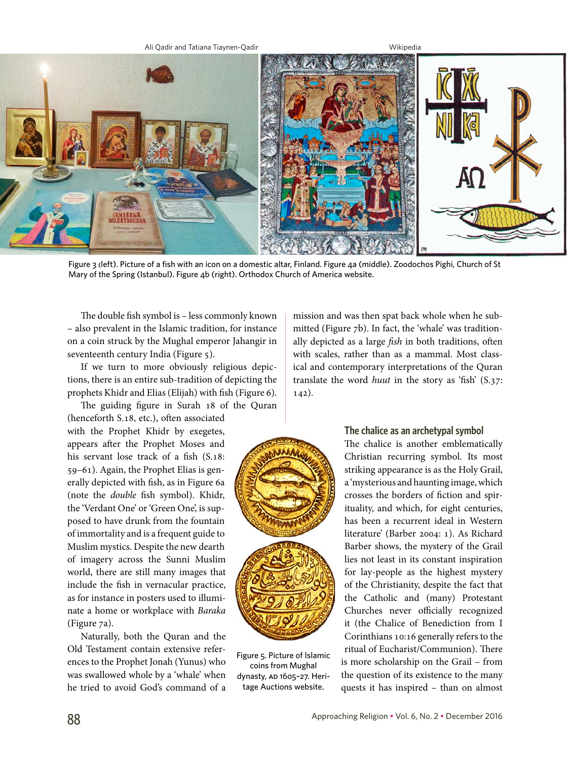

Figure 3 (left). Picture of a fish with an icon on a domestic altar, Finland. Figure 4a (middle). Zoodochos Pighi, Church of St Mary of the Spring (Istanbul). Figure 4b (right). Orthodox Church of America website.

The double fish symbol is – less commonly known – also prevalent in the Islamic tradition, for instance on a coin struck by the Mughal emperor Jahangir in seventeenth century India (Figure 5).

If we turn to more obviously religious depictions, there is an entire sub-tradition of depicting the prophets Khidr and Elias (Elijah) with fish (Figure 6).

The guiding figure in Surah 18 of the Quran (henceforth S.18, etc.), often associated with the Prophet Khidr by exegetes, appears after the Prophet Moses and his servant lose track of a fish (S.18: 59–61). Again, the Prophet Elias is generally depicted with fish, as in Figure 6a (note the *double* fish symbol). Khidr, the 'Verdant One' or 'Green One', is supposed to have drunk from the fountain of immortality and is a frequent guide to Muslim mystics. Despite the new dearth of imagery across the Sunni Muslim world, there are still many images that include the fish in vernacular practice, as for instance in posters used to illuminate a home or workplace with *Baraka* (Figure 7a).

Naturally, both the Quran and the Old Testament contain extensive references to the Prophet Jonah (Yunus) who was swallowed whole by a 'whale' when he tried to avoid God's command of a

mission and was then spat back whole when he submitted (Figure 7b). In fact, the 'whale' was traditionally depicted as a large *fish* in both traditions, often with scales, rather than as a mammal. Most classical and contemporary interpretations of the Quran translate the word *huut* in the story as 'fish' (S.37: 142).



Figure 5. Picture of Islamic coins from Mughal dynasty, AD 1605-27. Heritage Auctions website.

# **The chalice as an archetypal symbol**

The chalice is another emblematically Christian recurring symbol. Its most striking appearance is as the Holy Grail, a 'mysterious and haunting image, which crosses the borders of fiction and spirituality, and which, for eight centuries, has been a recurrent ideal in Western literature' (Barber 2004: 1). As Richard Barber shows, the mystery of the Grail lies not least in its constant inspiration for lay-people as the highest mystery of the Christianity, despite the fact that the Catholic and (many) Protestant Churches never officially recognized it (the Chalice of Benediction from I Corinthians 10:16 generally refers to the ritual of Eucharist/Communion). There is more scholarship on the Grail – from the question of its existence to the many quests it has inspired – than on almost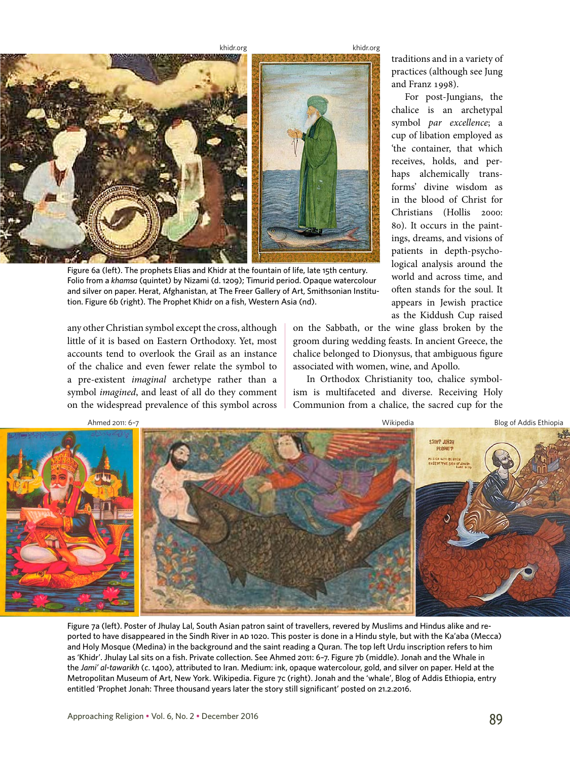<khidr.org>





Figure 6a (left). The prophets Elias and Khidr at the fountain of life, late 15th century. Folio from a *khamsa* (quintet) by Nizami (d. 1209); Timurid period. Opaque watercolour and silver on paper. Herat, Afghanistan, at The Freer Gallery of Art, Smithsonian Institution. Figure 6b (right). The Prophet Khidr on a fish, Western Asia (nd).

any other Christian symbol except the cross, although little of it is based on Eastern Orthodoxy. Yet, most accounts tend to overlook the Grail as an instance of the chalice and even fewer relate the symbol to a pre-existent *imaginal* archetype rather than a symbol *imagined*, and least of all do they comment on the widespread prevalence of this symbol across traditions and in a variety of practices (although see Jung and Franz 1998).

For post-Jungians, the chalice is an archetypal symbol *par excellence*; a cup of libation employed as 'the container, that which receives, holds, and perhaps alchemically transforms' divine wisdom as in the blood of Christ for Christians (Hollis 2000: 80). It occurs in the paintings, dreams, and visions of patients in depth-psychological analysis around the world and across time, and often stands for the soul. It appears in Jewish practice as the Kiddush Cup raised

on the Sabbath, or the wine glass broken by the groom during wedding feasts. In ancient Greece, the chalice belonged to Dionysus, that ambiguous figure associated with women, wine, and Apollo.

In Orthodox Christianity too, chalice symbolism is multifaceted and diverse. Receiving Holy Communion from a chalice, the sacred cup for the



Figure 7a (left). Poster of Jhulay Lal, South Asian patron saint of travellers, revered by Muslims and Hindus alike and reported to have disappeared in the Sindh River in AD 1020. This poster is done in a Hindu style, but with the Ka'aba (Mecca) and Holy Mosque (Medina) in the background and the saint reading a Quran. The top left Urdu inscription refers to him as 'Khidr'. Jhulay Lal sits on a fish. Private collection. See Ahmed 2011: 6–7. Figure 7b (middle). Jonah and the Whale in the *Jami' al-tawarikh* (*c*. 1400), attributed to Iran. Medium: ink, opaque watercolour, gold, and silver on paper. Held at the Metropolitan Museum of Art, New York. Wikipedia. Figure 7c (right). Jonah and the 'whale', Blog of Addis Ethiopia, entry entitled 'Prophet Jonah: Three thousand years later the story still significant' posted on 21.2.2016.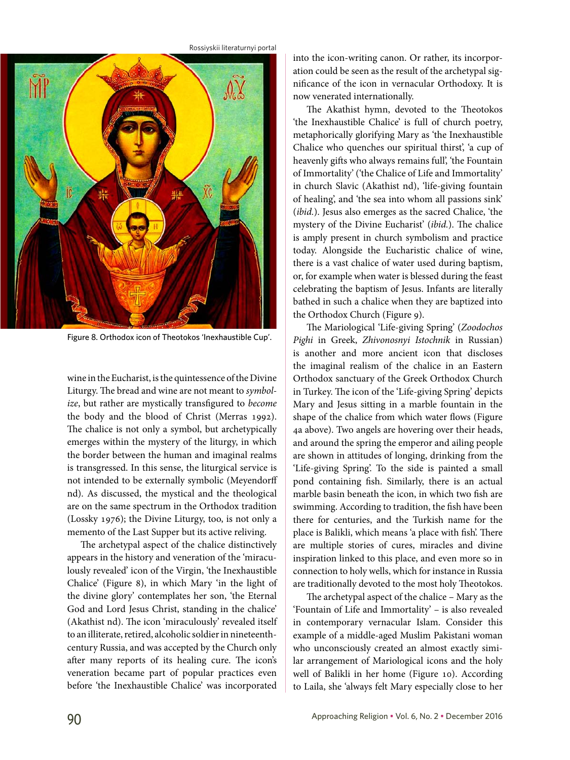

Figure 8. Orthodox icon of Theotokos 'Inexhaustible Cup'.

wine in the Eucharist, is the quintessence of the Divine Liturgy. The bread and wine are not meant to *symbolize*, but rather are mystically transfigured to *become*  the body and the blood of Christ (Merras 1992). The chalice is not only a symbol, but archetypically emerges within the mystery of the liturgy, in which the border between the human and imaginal realms is transgressed. In this sense, the liturgical service is not intended to be externally symbolic (Meyendorff nd). As discussed, the mystical and the theological are on the same spectrum in the Orthodox tradition (Lossky 1976); the Divine Liturgy, too, is not only a memento of the Last Supper but its active reliving.

The archetypal aspect of the chalice distinctively appears in the history and veneration of the 'miraculously revealed' icon of the Virgin, 'the Inexhaustible Chalice' (Figure 8), in which Mary 'in the light of the divine glory' contemplates her son, 'the Eternal God and Lord Jesus Christ, standing in the chalice' (Akathist nd). The icon 'miraculously' revealed itself to an illiterate, retired, alcoholic soldier in nineteenthcentury Russia, and was accepted by the Church only after many reports of its healing cure. The icon's veneration became part of popular practices even before 'the Inexhaustible Chalice' was incorporated

into the icon-writing canon. Or rather, its incorporation could be seen as the result of the archetypal significance of the icon in vernacular Orthodoxy. It is now venerated internationally.

The Akathist hymn, devoted to the Theotokos 'the Inexhaustible Chalice' is full of church poetry, metaphorically glorifying Mary as 'the Inexhaustible Chalice who quenches our spiritual thirst', 'a cup of heavenly gifts who always remains full', 'the Fountain of Immortality' ('the Chalice of Life and Immortality' in church Slavic (Akathist nd), 'life-giving fountain of healing', and 'the sea into whom all passions sink' (*ibid.*). Jesus also emerges as the sacred Chalice, 'the mystery of the Divine Eucharist' (*ibid.*). The chalice is amply present in church symbolism and practice today. Alongside the Eucharistic chalice of wine, there is a vast chalice of water used during baptism, or, for example when water is blessed during the feast celebrating the baptism of Jesus. Infants are literally bathed in such a chalice when they are baptized into the Orthodox Church (Figure 9).

The Mariological 'Life-giving Spring' (*Zoodochos Pighi* in Greek, *Zhivonosnyi Istochnik* in Russian) is another and more ancient icon that discloses the imaginal realism of the chalice in an Eastern Orthodox sanctuary of the Greek Orthodox Church in Turkey. The icon of the 'Life-giving Spring' depicts Mary and Jesus sitting in a marble fountain in the shape of the chalice from which water flows (Figure 4a above). Two angels are hovering over their heads, and around the spring the emperor and ailing people are shown in attitudes of longing, drinking from the 'Life-giving Spring'. To the side is painted a small pond containing fish. Similarly, there is an actual marble basin beneath the icon, in which two fish are swimming. According to tradition, the fish have been there for centuries, and the Turkish name for the place is Balikli, which means 'a place with fish'. There are multiple stories of cures, miracles and divine inspiration linked to this place, and even more so in connection to holy wells, which for instance in Russia are traditionally devoted to the most holy Theotokos.

The archetypal aspect of the chalice – Mary as the 'Fountain of Life and Immortality' – is also revealed in contemporary vernacular Islam. Consider this example of a middle-aged Muslim Pakistani woman who unconsciously created an almost exactly similar arrangement of Mariological icons and the holy well of Balikli in her home (Figure 10). According to Laila, she 'always felt Mary especially close to her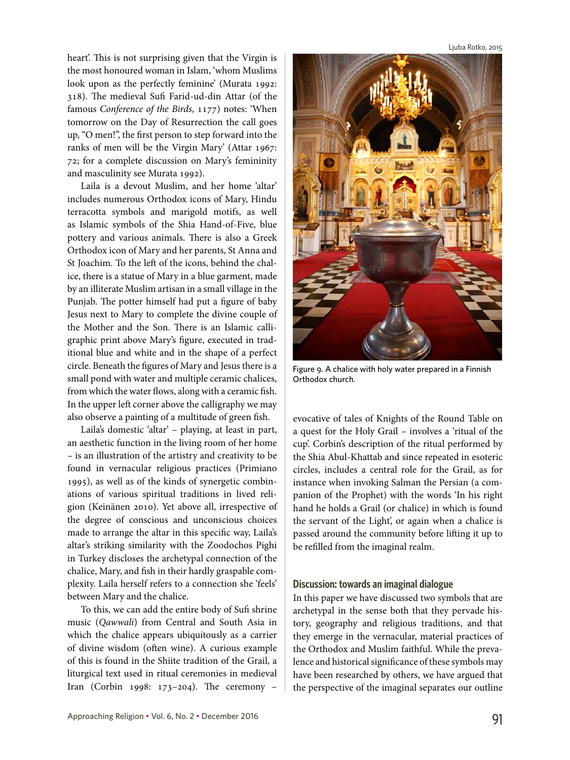heart'. This is not surprising given that the Virgin is the most honoured woman in Islam, 'whom Muslims look upon as the perfectly feminine' (Murata 1992: 318). The medieval Sufi Farid-ud-din Attar (of the famous *Conference of the Birds*, 1177) notes: 'When tomorrow on the Day of Resurrection the call goes up, "O men!", the first person to step forward into the ranks of men will be the Virgin Mary' (Attar 1967: 72; for a complete discussion on Mary's femininity and masculinity see Murata 1992).

Laila is a devout Muslim, and her home 'altar' includes numerous Orthodox icons of Mary, Hindu terracotta symbols and marigold motifs, as well as Islamic symbols of the Shia Hand-of-Five, blue pottery and various animals. There is also a Greek Orthodox icon of Mary and her parents, St Anna and St Joachim. To the left of the icons, behind the chalice, there is a statue of Mary in a blue garment, made by an illiterate Muslim artisan in a small village in the Punjab. The potter himself had put a figure of baby Jesus next to Mary to complete the divine couple of the Mother and the Son. There is an Islamic calligraphic print above Mary's figure, executed in traditional blue and white and in the shape of a perfect circle. Beneath the figures of Mary and Jesus there is a small pond with water and multiple ceramic chalices, from which the water flows, along with a ceramic fish. In the upper left corner above the calligraphy we may also observe a painting of a multitude of green fish.

Laila's domestic 'altar' – playing, at least in part, an aesthetic function in the living room of her home – is an illustration of the artistry and creativity to be found in vernacular religious practices (Primiano 1995), as well as of the kinds of synergetic combinations of various spiritual traditions in lived religion (Keinänen 2010). Yet above all, irrespective of the degree of conscious and unconscious choices made to arrange the altar in this specific way, Laila's altar's striking similarity with the Zoodochos Pighi in Turkey discloses the archetypal connection of the chalice, Mary, and fish in their hardly graspable complexity. Laila herself refers to a connection she 'feels' between Mary and the chalice.

To this, we can add the entire body of Sufi shrine music (*Qawwali*) from Central and South Asia in which the chalice appears ubiquitously as a carrier of divine wisdom (often wine). A curious example of this is found in the Shiite tradition of the Grail, a liturgical text used in ritual ceremonies in medieval Iran (Corbin 1998: 173–204). The ceremony –

Ljuba Rotko, 2015



Figure 9. A chalice with holy water prepared in a Finnish Orthodox church.

evocative of tales of Knights of the Round Table on a quest for the Holy Grail – involves a 'ritual of the cup'. Corbin's description of the ritual performed by the Shia Abul-Khattab and since repeated in esoteric circles, includes a central role for the Grail, as for instance when invoking Salman the Persian (a companion of the Prophet) with the words 'In his right hand he holds a Grail (or chalice) in which is found the servant of the Light', or again when a chalice is passed around the community before lifting it up to be refilled from the imaginal realm.

## **Discussion: towards an imaginal dialogue**

In this paper we have discussed two symbols that are archetypal in the sense both that they pervade history, geography and religious traditions, and that they emerge in the vernacular, material practices of the Orthodox and Muslim faithful. While the prevalence and historical significance of these symbols may have been researched by others, we have argued that the perspective of the imaginal separates our outline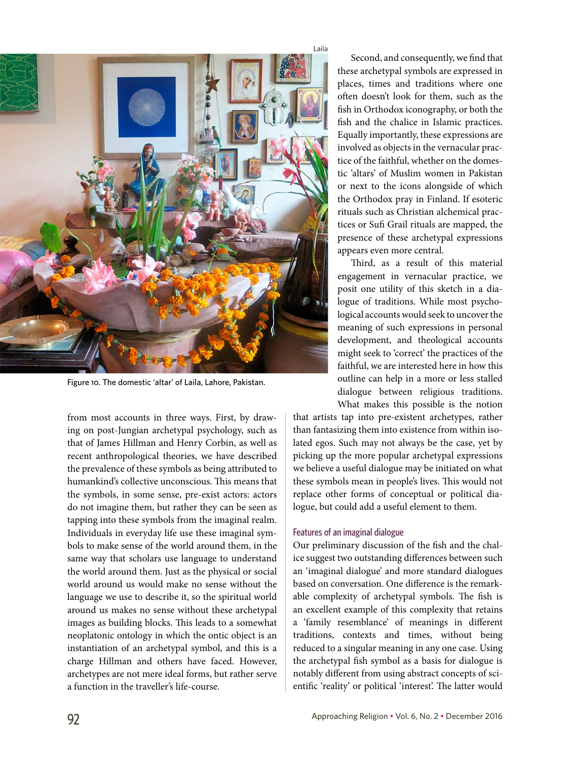

Figure 10. The domestic 'altar' of Laila, Lahore, Pakistan.

from most accounts in three ways. First, by drawing on post-Jungian archetypal psychology, such as that of James Hillman and Henry Corbin, as well as recent anthropological theories, we have described the prevalence of these symbols as being attributed to humankind's collective unconscious. This means that the symbols, in some sense, pre-exist actors: actors do not imagine them, but rather they can be seen as tapping into these symbols from the imaginal realm. Individuals in everyday life use these imaginal symbols to make sense of the world around them, in the same way that scholars use language to understand the world around them. Just as the physical or social world around us would make no sense without the language we use to describe it, so the spiritual world around us makes no sense without these archetypal images as building blocks. This leads to a somewhat neoplatonic ontology in which the ontic object is an instantiation of an archetypal symbol, and this is a charge Hillman and others have faced. However, archetypes are not mere ideal forms, but rather serve a function in the traveller's life-course.

Second, and consequently, we find that these archetypal symbols are expressed in places, times and traditions where one often doesn't look for them, such as the fish in Orthodox iconography, or both the fish and the chalice in Islamic practices. Equally importantly, these expressions are involved as objects in the vernacular practice of the faithful, whether on the domestic 'altars' of Muslim women in Pakistan or next to the icons alongside of which the Orthodox pray in Finland. If esoteric rituals such as Christian alchemical practices or Sufi Grail rituals are mapped, the presence of these archetypal expressions appears even more central.

Third, as a result of this material engagement in vernacular practice, we posit one utility of this sketch in a dialogue of traditions. While most psychological accounts would seek to uncover the meaning of such expressions in personal development, and theological accounts might seek to 'correct' the practices of the faithful, we are interested here in how this outline can help in a more or less stalled dialogue between religious traditions. What makes this possible is the notion

that artists tap into pre-existent archetypes, rather than fantasizing them into existence from within isolated egos. Such may not always be the case, yet by picking up the more popular archetypal expressions we believe a useful dialogue may be initiated on what these symbols mean in people's lives. This would not replace other forms of conceptual or political dialogue, but could add a useful element to them.

### Features of an imaginal dialogue

Our preliminary discussion of the fish and the chalice suggest two outstanding differences between such an 'imaginal dialogue' and more standard dialogues based on conversation. One difference is the remarkable complexity of archetypal symbols. The fish is an excellent example of this complexity that retains a 'family resemblance' of meanings in different traditions, contexts and times, without being reduced to a singular meaning in any one case. Using the archetypal fish symbol as a basis for dialogue is notably different from using abstract concepts of scientific 'reality' or political 'interest'. The latter would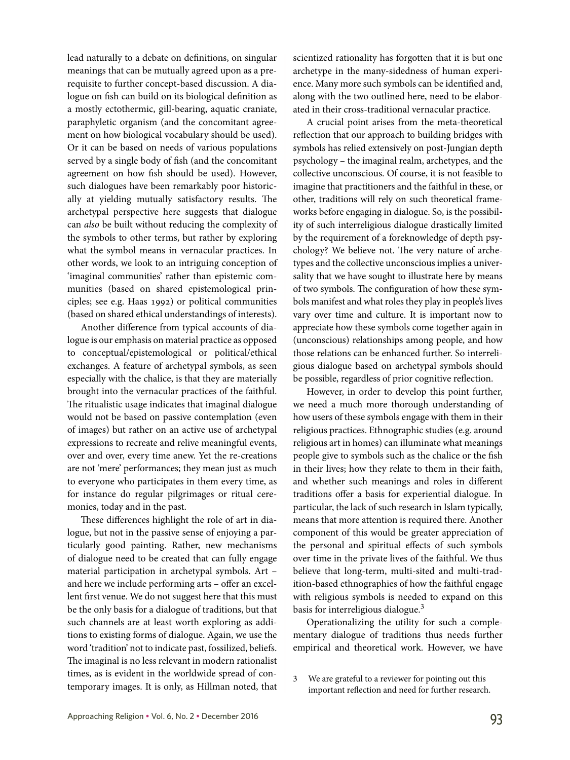lead naturally to a debate on definitions, on singular meanings that can be mutually agreed upon as a prerequisite to further concept-based discussion. A dialogue on fish can build on its biological definition as a mostly ectothermic, gill-bearing, aquatic craniate, paraphyletic organism (and the concomitant agreement on how biological vocabulary should be used). Or it can be based on needs of various populations served by a single body of fish (and the concomitant agreement on how fish should be used). However, such dialogues have been remarkably poor historically at yielding mutually satisfactory results. The archetypal perspective here suggests that dialogue can *also* be built without reducing the complexity of the symbols to other terms, but rather by exploring what the symbol means in vernacular practices. In other words, we look to an intriguing conception of 'imaginal communities' rather than epistemic communities (based on shared epistemological principles; see e.g. Haas 1992) or political communities (based on shared ethical understandings of interests).

Another difference from typical accounts of dialogue is our emphasis on material practice as opposed to conceptual/epistemological or political/ethical exchanges. A feature of archetypal symbols, as seen especially with the chalice, is that they are materially brought into the vernacular practices of the faithful. The ritualistic usage indicates that imaginal dialogue would not be based on passive contemplation (even of images) but rather on an active use of archetypal expressions to recreate and relive meaningful events, over and over, every time anew. Yet the re-creations are not 'mere' performances; they mean just as much to everyone who participates in them every time, as for instance do regular pilgrimages or ritual ceremonies, today and in the past.

These differences highlight the role of art in dialogue, but not in the passive sense of enjoying a particularly good painting. Rather, new mechanisms of dialogue need to be created that can fully engage material participation in archetypal symbols. Art – and here we include performing arts – offer an excellent first venue. We do not suggest here that this must be the only basis for a dialogue of traditions, but that such channels are at least worth exploring as additions to existing forms of dialogue. Again, we use the word 'tradition' not to indicate past, fossilized, beliefs. The imaginal is no less relevant in modern rationalist times, as is evident in the worldwide spread of contemporary images. It is only, as Hillman noted, that

scientized rationality has forgotten that it is but one archetype in the many-sidedness of human experience. Many more such symbols can be identified and, along with the two outlined here, need to be elaborated in their cross-traditional vernacular practice.

A crucial point arises from the meta-theoretical reflection that our approach to building bridges with symbols has relied extensively on post-Jungian depth psychology – the imaginal realm, archetypes, and the collective unconscious. Of course, it is not feasible to imagine that practitioners and the faithful in these, or other, traditions will rely on such theoretical frameworks before engaging in dialogue. So, is the possibility of such interreligious dialogue drastically limited by the requirement of a foreknowledge of depth psychology? We believe not. The very nature of archetypes and the collective unconscious implies a universality that we have sought to illustrate here by means of two symbols. The configuration of how these symbols manifest and what roles they play in people's lives vary over time and culture. It is important now to appreciate how these symbols come together again in (unconscious) relationships among people, and how those relations can be enhanced further. So interreligious dialogue based on archetypal symbols should be possible, regardless of prior cognitive reflection.

However, in order to develop this point further, we need a much more thorough understanding of how users of these symbols engage with them in their religious practices. Ethnographic studies (e.g. around religious art in homes) can illuminate what meanings people give to symbols such as the chalice or the fish in their lives; how they relate to them in their faith, and whether such meanings and roles in different traditions offer a basis for experiential dialogue. In particular, the lack of such research in Islam typically, means that more attention is required there. Another component of this would be greater appreciation of the personal and spiritual effects of such symbols over time in the private lives of the faithful. We thus believe that long-term, multi-sited and multi-tradition-based ethnographies of how the faithful engage with religious symbols is needed to expand on this basis for interreligious dialogue.<sup>3</sup>

Operationalizing the utility for such a complementary dialogue of traditions thus needs further empirical and theoretical work. However, we have

3 We are grateful to a reviewer for pointing out this important reflection and need for further research.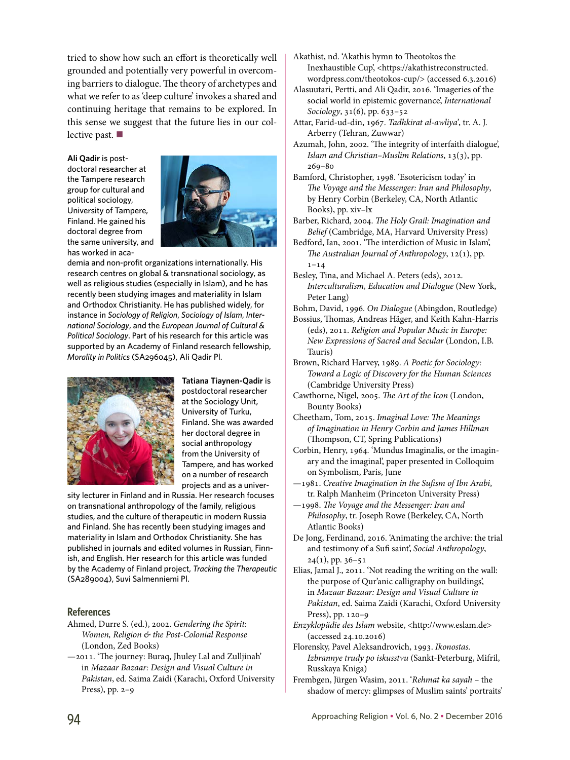tried to show how such an effort is theoretically well grounded and potentially very powerful in overcoming barriers to dialogue. The theory of archetypes and what we refer to as 'deep culture' invokes a shared and continuing heritage that remains to be explored. In this sense we suggest that the future lies in our collective past.

#### **Ali Qadir** is post-

doctoral researcher at the Tampere research group for cultural and political sociology, University of Tampere, Finland. He gained his doctoral degree from the same university, and has worked in aca-



demia and non-profit organizations internationally. His research centres on global & transnational sociology, as well as religious studies (especially in Islam), and he has recently been studying images and materiality in Islam and Orthodox Christianity. He has published widely, for instance in *Sociology of Religion*, *Sociology of Islam*, *International Sociology*, and the *European Journal of Cultural & Political Sociology*. Part of his research for this article was supported by an Academy of Finland research fellowship, *Morality in Politics* (SA296045), Ali Qadir Pl.



**Tatiana Tiaynen-Qadir** is postdoctoral researcher at the Sociology Unit, University of Turku, Finland. She was awarded her doctoral degree in social anthropology from the University of Tampere, and has worked on a number of research

projects and as a univer-

sity lecturer in Finland and in Russia. Her research focuses on transnational anthropology of the family, religious studies, and the culture of therapeutic in modern Russia and Finland. She has recently been studying images and materiality in Islam and Orthodox Christianity. She has published in journals and edited volumes in Russian, Finnish, and English. Her research for this article was funded by the Academy of Finland project, *Tracking the Therapeutic* (SA289004), Suvi Salmenniemi Pl.

## **References**

- Ahmed, Durre S. (ed.), 2002. *Gendering the Spirit: Women, Religion & the Post-Colonial Response*  (London, Zed Books)
- —2011. 'The journey: Buraq, Jhuley Lal and Zulljinah' in *Mazaar Bazaar: Design and Visual Culture in Pakistan*, ed. Saima Zaidi (Karachi, Oxford University Press), pp. 2–9
- Akathist, nd. 'Akathis hymn to Theotokos the Inexhaustible Cup', [<https://akathistreconstructed.](https://akathistreconstructed.wordpress.com/theotokos) [wordpress.com/theotokos](https://akathistreconstructed.wordpress.com/theotokos)-cup/> (accessed 6.3.2016)
- Alasuutari, Pertti, and Ali Qadir, 2016. 'Imageries of the social world in epistemic governance', *International Sociology*, 31(6), pp. 633–52
- Attar, Farid-ud-din, 1967. *Tadhkirat al-awliya'*, tr. A. J. Arberry (Tehran, Zuwwar)
- Azumah, John, 2002. 'The integrity of interfaith dialogue', *Islam and Christian–Muslim Relations*, 13(3), pp. 269–80
- Bamford, Christopher, 1998. 'Esotericism today' in *The Voyage and the Messenger: Iran and Philosophy*, by Henry Corbin (Berkeley, CA, North Atlantic Books), pp. xiv–lx
- Barber, Richard, 2004. *The Holy Grail: Imagination and Belief* (Cambridge, MA, Harvard University Press)
- Bedford, Ian, 2001. 'The interdiction of Music in Islam', *The Australian Journal of Anthropology*, 12(1), pp.  $1 - 14$
- Besley, Tina, and Michael A. Peters (eds), 2012. *Interculturalism, Education and Dialogue* (New York, Peter Lang)
- Bohm, David, 1996. *On Dialogue* (Abingdon, Routledge)
- Bossius, Thomas, Andreas Häger, and Keith Kahn-Harris (eds), 2011. *Religion and Popular Music in Europe: New Expressions of Sacred and Secular* (London, I.B. Tauris)
- Brown, Richard Harvey, 1989. *A Poetic for Sociology: Toward a Logic of Discovery for the Human Sciences* (Cambridge University Press)
- Cawthorne, Nigel, 2005. *The Art of the Icon* (London, Bounty Books)
- Cheetham, Tom, 2015. *Imaginal Love: The Meanings of Imagination in Henry Corbin and James Hillman* (Thompson, CT, Spring Publications)
- Corbin, Henry, 1964. 'Mundus Imaginalis, or the imaginary and the imaginal', paper presented in Colloquim on Symbolism, Paris, June
- —1981. *Creative Imagination in the Sufism of Ibn Arabi*, tr. Ralph Manheim (Princeton University Press)
- —1998. *The Voyage and the Messenger: Iran and Philosophy*, tr. Joseph Rowe (Berkeley, CA, North Atlantic Books)
- De Jong, Ferdinand, 2016. 'Animating the archive: the trial and testimony of a Sufi saint', *Social Anthropology*,  $24(1)$ , pp. 36–51
- Elias, Jamal J., 2011. 'Not reading the writing on the wall: the purpose of Qur'anic calligraphy on buildings', in *Mazaar Bazaar: Design and Visual Culture in Pakistan*, ed. Saima Zaidi (Karachi, Oxford University Press), pp. 120–9
- *Enzyklopädie des Islam* website, [<http://www.eslam.de](http://www.eslam.de)> (accessed 24.10.2016)
- Florensky, Pavel Aleksandrovich, 1993. *Ikonostas. Izbrannye trudy po iskusstvu* (Sankt-Peterburg, Mifril, Russkaya Kniga)
- Frembgen, Jürgen Wasim, 2011. '*Rehmat ka sayah* the shadow of mercy: glimpses of Muslim saints' portraits'